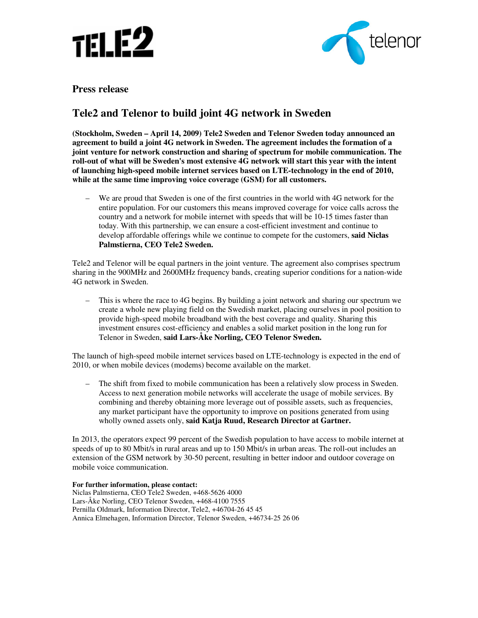



**Press release** 

## **Tele2 and Telenor to build joint 4G network in Sweden**

**(Stockholm, Sweden – April 14, 2009) Tele2 Sweden and Telenor Sweden today announced an agreement to build a joint 4G network in Sweden. The agreement includes the formation of a joint venture for network construction and sharing of spectrum for mobile communication. The roll-out of what will be Sweden's most extensive 4G network will start this year with the intent of launching high-speed mobile internet services based on LTE-technology in the end of 2010, while at the same time improving voice coverage (GSM) for all customers.** 

– We are proud that Sweden is one of the first countries in the world with 4G network for the entire population. For our customers this means improved coverage for voice calls across the country and a network for mobile internet with speeds that will be 10-15 times faster than today. With this partnership, we can ensure a cost-efficient investment and continue to develop affordable offerings while we continue to compete for the customers, **said Niclas Palmstierna, CEO Tele2 Sweden.**

Tele2 and Telenor will be equal partners in the joint venture. The agreement also comprises spectrum sharing in the 900MHz and 2600MHz frequency bands, creating superior conditions for a nation-wide 4G network in Sweden.

– This is where the race to 4G begins. By building a joint network and sharing our spectrum we create a whole new playing field on the Swedish market, placing ourselves in pool position to provide high-speed mobile broadband with the best coverage and quality. Sharing this investment ensures cost-efficiency and enables a solid market position in the long run for Telenor in Sweden, **said Lars-Åke Norling, CEO Telenor Sweden.** 

The launch of high-speed mobile internet services based on LTE-technology is expected in the end of 2010, or when mobile devices (modems) become available on the market.

– The shift from fixed to mobile communication has been a relatively slow process in Sweden. Access to next generation mobile networks will accelerate the usage of mobile services. By combining and thereby obtaining more leverage out of possible assets, such as frequencies, any market participant have the opportunity to improve on positions generated from using wholly owned assets only, **said Katja Ruud, Research Director at Gartner.**

In 2013, the operators expect 99 percent of the Swedish population to have access to mobile internet at speeds of up to 80 Mbit/s in rural areas and up to 150 Mbit/s in urban areas. The roll-out includes an extension of the GSM network by 30-50 percent, resulting in better indoor and outdoor coverage on mobile voice communication.

**For further information, please contact:**

Niclas Palmstierna, CEO Tele2 Sweden, +468-5626 4000 Lars-Åke Norling, CEO Telenor Sweden, +468-4100 7555 Pernilla Oldmark, Information Director, Tele2, +46704-26 45 45 Annica Elmehagen, Information Director, Telenor Sweden, +46734-25 26 06